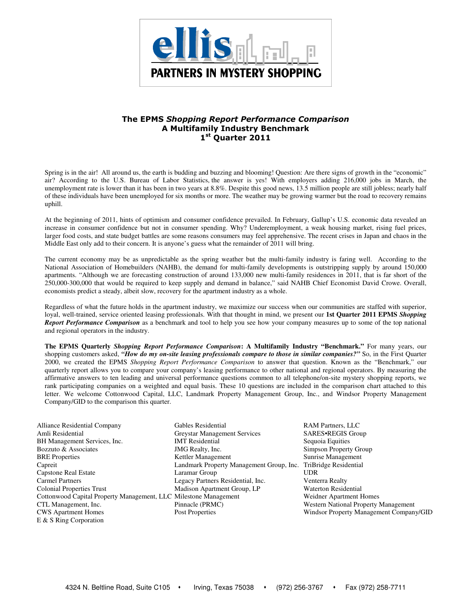

# The EPMS Shopping Report Performance Comparison A Multifamily Industry Benchmark 1st Quarter 2011

Spring is in the air!All around us, the earth is budding and buzzing and blooming! Question: Are there signs of growth in the "economic" air? According to the U.S. Bureau of Labor Statistics, the answer is yes! With employers adding 216,000 jobs in March, the unemployment rate is lower than it has been in two years at 8.8%. Despite this good news, 13.5 million people are still jobless; nearly half of these individuals have been unemployed for six months or more. The weather may be growing warmer but the road to recovery remains uphill.

At the beginning of 2011, hints of optimism and consumer confidence prevailed. In February, Gallup's U.S. economic data revealed an increase in consumer confidence but not in consumer spending. Why? Underemployment, a weak housing market, rising fuel prices, larger food costs, and state budget battles are some reasons consumers may feel apprehensive. The recent crises in Japan and chaos in the Middle East only add to their concern. It is anyone's guess what the remainder of 2011 will bring.

The current economy may be as unpredictable as the spring weather but the multi-family industry is faring well. According to the National Association of Homebuilders (NAHB), the demand for multi-family developments is outstripping supply by around 150,000 apartments. "Although we are forecasting construction of around 133,000 new multi-family residences in 2011, that is far short of the 250,000-300,000 that would be required to keep supply and demand in balance," said NAHB Chief Economist David Crowe. Overall, economists predict a steady, albeit slow, recovery for the apartment industry as a whole.

Regardless of what the future holds in the apartment industry, we maximize our success when our communities are staffed with superior, loyal, well-trained, service oriented leasing professionals. With that thought in mind, we present our **1st Quarter 2011 EPMS** *Shopping Report Performance Comparison* as a benchmark and tool to help you see how your company measures up to some of the top national and regional operators in the industry.

**The EPMS Quarterly** *Shopping Report Performance Comparison***: A Multifamily Industry "Benchmark."** For many years, our shopping customers asked, *"How do my on-site leasing professionals compare to those in similar companies?"* So, in the First Quarter 2000, we created the EPMS *Shopping Report Performance Comparison* to answer that question. Known as the "Benchmark," our quarterly report allows you to compare your company's leasing performance to other national and regional operators. By measuring the affirmative answers to ten leading and universal performance questions common to all telephone/on-site mystery shopping reports, we rank participating companies on a weighted and equal basis. These 10 questions are included in the comparison chart attached to this letter. We welcome Cottonwood Capital, LLC, Landmark Property Management Group, Inc., and Windsor Property Management Company/GID to the comparison this quarter.

Alliance Residential Company Gables Residential RAM Partners, LLC E & S Ring Corporation

Amli Residential Greystar Management Services SARES•REGIS Group BH Management Services, Inc. **IMT Residential** Sequoia Equities Bozzuto & Associates MG Realty, Inc. Simpson Property Group BRE Properties **Kettler Management** Sunrise Management Capreit Landmark Property Management Group, Inc. TriBridge Residential Capstone Real Estate Laramar Group UDR Carmel Partners Legacy Partners Residential, Inc. Venterra Realty Colonial Properties Trust Madison Apartment Group, LP Waterton Residential Cottonwood Capital Property Management, LLC Milestone Management Weidner Apartment Homes CTL Management, Inc. Pinnacle (PRMC) Western National Property Management CWS Apartment Homes Post Properties Windsor Property Management Company/GID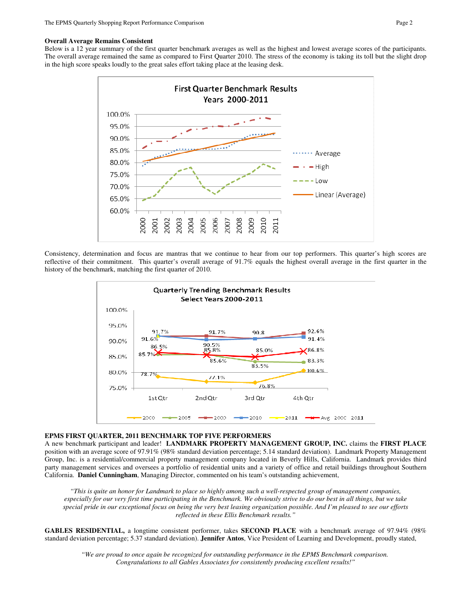# **Overall Average Remains Consistent**

Below is a 12 year summary of the first quarter benchmark averages as well as the highest and lowest average scores of the participants. The overall average remained the same as compared to First Quarter 2010. The stress of the economy is taking its toll but the slight drop in the high score speaks loudly to the great sales effort taking place at the leasing desk.



Consistency, determination and focus are mantras that we continue to hear from our top performers. This quarter's high scores are reflective of their commitment. This quarter's overall average of 91.7% equals the highest overall average in the first quarter in the history of the benchmark, matching the first quarter of 2010.



### **EPMS FIRST QUARTER, 2011 BENCHMARK TOP FIVE PERFORMERS**

A new benchmark participant and leader! **LANDMARK PROPERTY MANAGEMENT GROUP, INC.** claims the **FIRST PLACE** position with an average score of 97.91% (98% standard deviation percentage; 5.14 standard deviation). Landmark Property Management Group, Inc. is a residential/commercial property management company located in Beverly Hills, California. Landmark provides third party management services and oversees a portfolio of residential units and a variety of office and retail buildings throughout Southern California. **Daniel Cunningham**, Managing Director, commented on his team's outstanding achievement,

*"This is quite an honor for Landmark to place so highly among such a well-respected group of management companies, especially for our very first time participating in the Benchmark. We obviously strive to do our best in all things, but we take special pride in our exceptional focus on being the very best leasing organization possible. And I'm pleased to see our efforts reflected in these Ellis Benchmark results."* 

**GABLES RESIDENTIAL,** a longtime consistent performer, takes **SECOND PLACE** with a benchmark average of 97.94% (98% standard deviation percentage; 5.37 standard deviation). **Jennifer Antos**, Vice President of Learning and Development, proudly stated,

*"We are proud to once again be recognized for outstanding performance in the EPMS Benchmark comparison. Congratulations to all Gables Associates for consistently producing excellent results!"*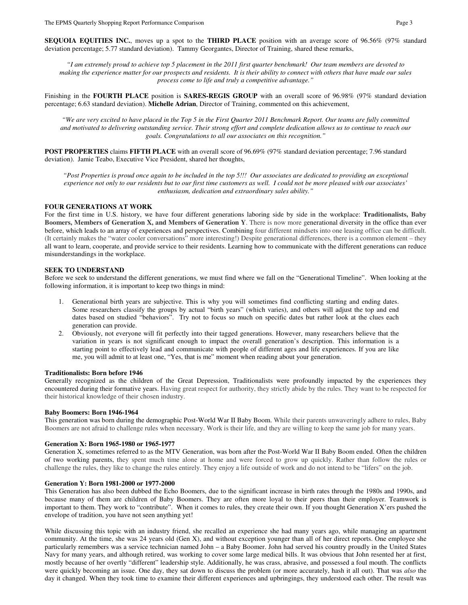**SEQUOIA EQUITIES INC.**, moves up a spot to the **THIRD PLACE** position with an average score of 96.56% (97% standard deviation percentage; 5.77 standard deviation). Tammy Georgantes, Director of Training, shared these remarks,

*"I am extremely proud to achieve top 5 placement in the 2011 first quarter benchmark! Our team members are devoted to making the experience matter for our prospects and residents. It is their ability to connect with others that have made our sales process come to life and truly a competitive advantage."* 

Finishing in the **FOURTH PLACE** position is **SARES-REGIS GROUP** with an overall score of 96.98% (97% standard deviation percentage; 6.63 standard deviation). **Michelle Adrian**, Director of Training, commented on this achievement,

*"We are very excited to have placed in the Top 5 in the First Quarter 2011 Benchmark Report. Our teams are fully committed and motivated to delivering outstanding service. Their strong effort and complete dedication allows us to continue to reach our goals. Congratulations to all our associates on this recognition."* 

**POST PROPERTIES** claims **FIFTH PLACE** with an overall score of 96.69% (97% standard deviation percentage; 7.96 standard deviation). Jamie Teabo, Executive Vice President, shared her thoughts,

*"Post Properties is proud once again to be included in the top 5!!! Our associates are dedicated to providing an exceptional experience not only to our residents but to our first time customers as well. I could not be more pleased with our associates' enthusiasm, dedication and extraordinary sales ability."* 

### **FOUR GENERATIONS AT WORK**

For the first time in U.S. history, we have four different generations laboring side by side in the workplace: **Traditionalists, Baby Boomers, Members of Generation X, and Members of Generation Y**. There is now more generational diversity in the office than ever before, which leads to an array of experiences and perspectives. Combining four different mindsets into one leasing office can be difficult. (It certainly makes the "water cooler conversations" more interesting!) Despite generational differences, there is a common element – they all want to learn, cooperate, and provide service to their residents. Learning how to communicate with the different generations can reduce misunderstandings in the workplace.

# **SEEK TO UNDERSTAND**

Before we seek to understand the different generations, we must find where we fall on the "Generational Timeline". When looking at the following information, it is important to keep two things in mind:

- 1. Generational birth years are subjective. This is why you will sometimes find conflicting starting and ending dates. Some researchers classify the groups by actual "birth years" (which varies), and others will adjust the top and end dates based on studied "behaviors". Try not to focus so much on specific dates but rather look at the clues each generation can provide.
- 2. Obviously, not everyone will fit perfectly into their tagged generations. However, many researchers believe that the variation in years is not significant enough to impact the overall generation's description. This information is a starting point to effectively lead and communicate with people of different ages and life experiences. If you are like me, you will admit to at least one, "Yes, that is me" moment when reading about your generation.

### **Traditionalists: Born before 1946**

Generally recognized as the children of the Great Depression, Traditionalists were profoundly impacted by the experiences they encountered during their formative years. Having great respect for authority, they strictly abide by the rules. They want to be respected for their historical knowledge of their chosen industry.

### **Baby Boomers: Born 1946-1964**

This generation was born during the demographic Post-World War II Baby Boom. While their parents unwaveringly adhere to rules, Baby Boomers are not afraid to challenge rules when necessary. Work is their life, and they are willing to keep the same job for many years.

### **Generation X: Born 1965-1980 or 1965-1977**

Generation X, sometimes referred to as the MTV Generation, was born after the Post-World War II Baby Boom ended. Often the children of two working parents, they spent much time alone at home and were forced to grow up quickly. Rather than follow the rules or challenge the rules, they like to change the rules entirely. They enjoy a life outside of work and do not intend to be "lifers" on the job.

#### **Generation Y: Born 1981-2000 or 1977-2000**

This Generation has also been dubbed the Echo Boomers, due to the significant increase in birth rates through the 1980s and 1990s, and because many of them are children of Baby Boomers. They are often more loyal to their peers than their employer. Teamwork is important to them. They work to "contribute". When it comes to rules, they create their own. If you thought Generation X'ers pushed the envelope of tradition, you have not seen anything yet!

While discussing this topic with an industry friend, she recalled an experience she had many years ago, while managing an apartment community. At the time, she was 24 years old (Gen X), and without exception younger than all of her direct reports. One employee she particularly remembers was a service technician named John – a Baby Boomer. John had served his country proudly in the United States Navy for many years, and although retired, was working to cover some large medical bills. It was obvious that John resented her at first, mostly because of her overtly "different" leadership style. Additionally, he was crass, abrasive, and possessed a foul mouth. The conflicts were quickly becoming an issue. One day, they sat down to discuss the problem (or more accurately, hash it all out). That was *also* the day it changed. When they took time to examine their different experiences and upbringings, they understood each other. The result was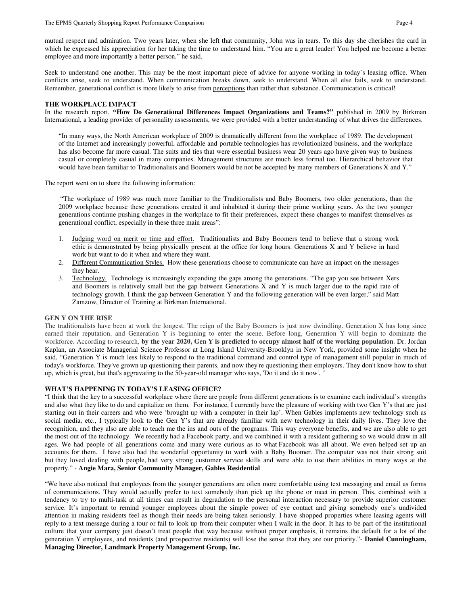Seek to understand one another. This may be the most important piece of advice for anyone working in today's leasing office. When conflicts arise, seek to understand. When communication breaks down, seek to understand. When all else fails, seek to understand. Remember, generational conflict is more likely to arise from perceptions than rather than substance. Communication is critical!

# **THE WORKPLACE IMPACT**

In the research report, **"How Do Generational Differences Impact Organizations and Teams?"** published in 2009 by Birkman International, a leading provider of personality assessments, we were provided with a better understanding of what drives the differences.

"In many ways, the North American workplace of 2009 is dramatically different from the workplace of 1989. The development of the Internet and increasingly powerful, affordable and portable technologies has revolutionized business, and the workplace has also become far more casual. The suits and ties that were essential business wear 20 years ago have given way to business casual or completely casual in many companies. Management structures are much less formal too. Hierarchical behavior that would have been familiar to Traditionalists and Boomers would be not be accepted by many members of Generations X and Y."

The report went on to share the following information:

 "The workplace of 1989 was much more familiar to the Traditionalists and Baby Boomers, two older generations, than the 2009 workplace because these generations created it and inhabited it during their prime working years. As the two younger generations continue pushing changes in the workplace to fit their preferences, expect these changes to manifest themselves as generational conflict, especially in these three main areas":

- 1. Judging word on merit or time and effort. Traditionalists and Baby Boomers tend to believe that a strong work ethic is demonstrated by being physically present at the office for long hours. Generations X and Y believe in hard work but want to do it when and where they want.
- 2. Different Communication Styles. How these generations choose to communicate can have an impact on the messages they hear.
- 3. Technology. Technology is increasingly expanding the gaps among the generations. "The gap you see between Xers and Boomers is relatively small but the gap between Generations X and Y is much larger due to the rapid rate of technology growth. I think the gap between Generation Y and the following generation will be even larger," said Matt Zamzow, Director of Training at Birkman International.

### **GEN Y ON THE RISE**

The traditionalists have been at work the longest. The reign of the Baby Boomers is just now dwindling. Generation X has long since earned their reputation, and Generation Y is beginning to enter the scene. Before long, Generation Y will begin to dominate the workforce. According to research, **by the year 2020, Gen Y is predicted to occupy almost half of the working population**. Dr. Jordan Kaplan, an Associate Managerial Science Professor at Long Island University-Brooklyn in New York, provided some insight when he said, "Generation Y is much less likely to respond to the traditional command and control type of management still popular in much of today's workforce. They've grown up questioning their parents, and now they're questioning their employers. They don't know how to shut up, which is great, but that's aggravating to the 50-year-old manager who says, 'Do it and do it now'. "

# **WHAT'S HAPPENING IN TODAY'S LEASING OFFICE?**

"I think that the key to a successful workplace where there are people from different generations is to examine each individual's strengths and also what they like to do and capitalize on them. For instance, I currently have the pleasure of working with two Gen Y's that are just starting out in their careers and who were 'brought up with a computer in their lap'. When Gables implements new technology such as social media, etc., I typically look to the Gen Y's that are already familiar with new technology in their daily lives. They love the recognition, and they also are able to teach me the ins and outs of the programs. This way everyone benefits, and we are also able to get the most out of the technology. We recently had a Facebook party, and we combined it with a resident gathering so we would draw in all ages. We had people of all generations come and many were curious as to what Facebook was all about. We even helped set up an accounts for them. I have also had the wonderful opportunity to work with a Baby Boomer. The computer was not their strong suit but they loved dealing with people, had very strong customer service skills and were able to use their abilities in many ways at the property." - **Angie Mara, Senior Community Manager, Gables Residential** 

"We have also noticed that employees from the younger generations are often more comfortable using text messaging and email as forms of communications. They would actually prefer to text somebody than pick up the phone or meet in person. This, combined with a tendency to try to multi-task at all times can result in degradation to the personal interaction necessary to provide superior customer service. It's important to remind younger employees about the simple power of eye contact and giving somebody one's undivided attention in making residents feel as though their needs are being taken seriously. I have shopped properties where leasing agents will reply to a text message during a tour or fail to look up from their computer when I walk in the door. It has to be part of the institutional culture that your company just doesn't treat people that way because without proper emphasis, it remains the default for a lot of the generation Y employees, and residents (and prospective residents) will lose the sense that they are our priority."- **Daniel Cunningham, Managing Director, Landmark Property Management Group, Inc.**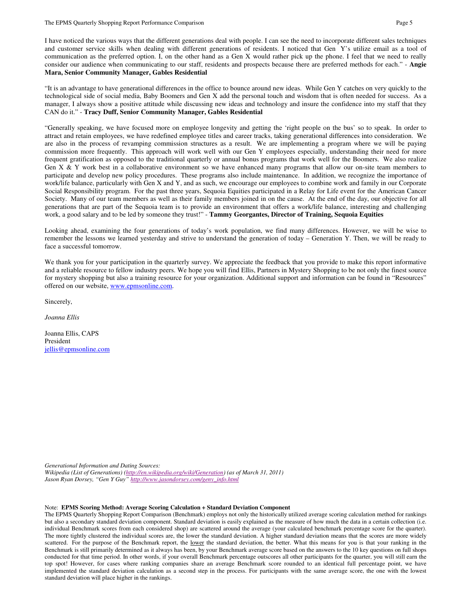I have noticed the various ways that the different generations deal with people. I can see the need to incorporate different sales techniques and customer service skills when dealing with different generations of residents. I noticed that Gen Y's utilize email as a tool of communication as the preferred option. I, on the other hand as a Gen X would rather pick up the phone. I feel that we need to really consider our audience when communicating to our staff, residents and prospects because there are preferred methods for each." - **Angie Mara, Senior Community Manager, Gables Residential** 

"It is an advantage to have generational differences in the office to bounce around new ideas. While Gen Y catches on very quickly to the technological side of social media, Baby Boomers and Gen X add the personal touch and wisdom that is often needed for success. As a manager, I always show a positive attitude while discussing new ideas and technology and insure the confidence into my staff that they CAN do it." - **Tracy Duff, Senior Community Manager, Gables Residential** 

"Generally speaking, we have focused more on employee longevity and getting the 'right people on the bus' so to speak. In order to attract and retain employees, we have redefined employee titles and career tracks, taking generational differences into consideration. We are also in the process of revamping commission structures as a result. We are implementing a program where we will be paying commission more frequently. This approach will work well with our Gen Y employees especially, understanding their need for more frequent gratification as opposed to the traditional quarterly or annual bonus programs that work well for the Boomers. We also realize Gen  $X \& Y$  work best in a collaborative environment so we have enhanced many programs that allow our on-site team members to participate and develop new policy procedures. These programs also include maintenance. In addition, we recognize the importance of work/life balance, particularly with Gen X and Y, and as such, we encourage our employees to combine work and family in our Corporate Social Responsibility program. For the past three years, Sequoia Equities participated in a Relay for Life event for the American Cancer Society. Many of our team members as well as their family members joined in on the cause. At the end of the day, our objective for all generations that are part of the Sequoia team is to provide an environment that offers a work/life balance, interesting and challenging work, a good salary and to be led by someone they trust!" - Tammy Georgantes, Director of Training, Sequoia Equities

Looking ahead, examining the four generations of today's work population, we find many differences. However, we will be wise to remember the lessons we learned yesterday and strive to understand the generation of today – Generation Y. Then, we will be ready to face a successful tomorrow.

We thank you for your participation in the quarterly survey. We appreciate the feedback that you provide to make this report informative and a reliable resource to fellow industry peers. We hope you will find Ellis, Partners in Mystery Shopping to be not only the finest source for mystery shopping but also a training resource for your organization. Additional support and information can be found in "Resources" offered on our website, www.epmsonline.com.

Sincerely,

*Joanna Ellis* 

Joanna Ellis, CAPS President jellis@epmsonline.com

*Generational Information and Dating Sources:* 

*Wikipedia (List of Generations) (http://en.wikipedia.org/wiki/Generation) (as of March 31, 2011) Jason Ryan Dorsey, "Gen Y Guy" http://www.jasondorsey.com/geny\_info.html*

#### Note: **EPMS Scoring Method: Average Scoring Calculation + Standard Deviation Component**

The EPMS Quarterly Shopping Report Comparison (Benchmark) employs not only the historically utilized average scoring calculation method for rankings but also a secondary standard deviation component. Standard deviation is easily explained as the measure of how much the data in a certain collection (i.e. individual Benchmark scores from each considered shop) are scattered around the average (your calculated benchmark percentage score for the quarter). The more tightly clustered the individual scores are, the lower the standard deviation. A higher standard deviation means that the scores are more widely scattered. For the purpose of the Benchmark report, the lower the standard deviation, the better. What this means for you is that your ranking in the Benchmark is still primarily determined as it always has been, by your Benchmark average score based on the answers to the 10 key questions on full shops conducted for that time period. In other words, if your overall Benchmark percentage outscores all other participants for the quarter, you will still earn the top spot! However, for cases where ranking companies share an average Benchmark score rounded to an identical full percentage point, we have implemented the standard deviation calculation as a second step in the process. For participants with the same average score, the one with the lowest standard deviation will place higher in the rankings.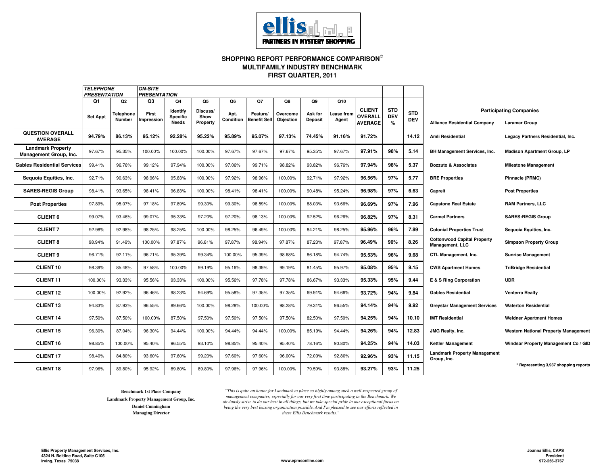

# **SHOPPING REPORT PERFORMANCE COMPARISON FIRST QUARTER, 2011MULTIFAMILY INDUSTRY BENCHMARK**

|                                                    | <b>TELEPHONE</b><br><b>PRESENTATION</b> |                                  | <b>ON-SITE</b><br><b>PRESENTATION</b> |                                            |                                    |                         |                                      |                             |                                 |                           |                                                   |                               |                          |                                                       |                                                        |
|----------------------------------------------------|-----------------------------------------|----------------------------------|---------------------------------------|--------------------------------------------|------------------------------------|-------------------------|--------------------------------------|-----------------------------|---------------------------------|---------------------------|---------------------------------------------------|-------------------------------|--------------------------|-------------------------------------------------------|--------------------------------------------------------|
|                                                    | Q1<br><b>Set Appt</b>                   | Q2<br>Telephone<br><b>Number</b> | Q3<br>First<br><b>Impression</b>      | Q4<br>Identify<br><b>Specific</b><br>Needs | Q5<br>Discuss/<br>Show<br>Property | Q6<br>Apt.<br>Condition | Q7<br>Feature/<br><b>Benefit Sel</b> | Q8<br>Overcome<br>Objection | Q9<br>Ask for<br><b>Deposit</b> | Q10<br>ease from<br>Agent | <b>CLIENT</b><br><b>OVERALL</b><br><b>AVERAGE</b> | <b>STD</b><br><b>DEV</b><br>% | <b>STD</b><br><b>DEV</b> | <b>Alliance Residential Company</b>                   | <b>Participating Companies</b><br><b>Laramar Group</b> |
| <b>QUESTION OVERALL</b><br><b>AVERAGE</b>          | 94.79%                                  | 86.13%                           | 95.12%                                | 92.28%                                     | 95.22%                             | 95.89%                  | 95.07%                               | 97.13%                      | 74.45%                          | 91.16%                    | 91.72%                                            |                               | 14.12                    | Amli Residential                                      | Legacy Partners Residential, Inc.                      |
| <b>Landmark Property</b><br>Management Group, Inc. | 97.67%                                  | 95.35%                           | 100.00%                               | 100.00%                                    | 100.00%                            | 97.67%                  | 97.67%                               | 97.67%                      | 95.35%                          | 97.67%                    | 97.91%                                            | 98%                           | 5.14                     | <b>BH Management Services, Inc.</b>                   | <b>Madison Apartment Group, LP</b>                     |
| <b>Gables Residential Services</b>                 | 99.41%                                  | 96.76%                           | 99.12%                                | 97.94%                                     | 100.00%                            | 97.06%                  | 99.71%                               | 98.82%                      | 93.82%                          | 96.76%                    | 97.94%                                            | 98%                           | 5.37                     | <b>Bozzuto &amp; Associates</b>                       | <b>Milestone Management</b>                            |
| Sequoia Equities, Inc.                             | 92.71%                                  | 90.63%                           | 98.96%                                | 95.83%                                     | 100.00%                            | 97.92%                  | 98.96%                               | 100.00%                     | 92.71%                          | 97.92%                    | 96.56%                                            | 97%                           | 5.77                     | <b>BRE Properties</b>                                 | Pinnacle (PRMC)                                        |
| <b>SARES-REGIS Group</b>                           | 98.41%                                  | 93.65%                           | 98.41%                                | 96.83%                                     | 100.00%                            | 98.41%                  | 98.41%                               | 100.00%                     | 90.48%                          | 95.24%                    | 96.98%                                            | 97%                           | 6.63                     | Capreit                                               | <b>Post Properties</b>                                 |
| <b>Post Properties</b>                             | 97.89%                                  | 95.07%                           | 97.18%                                | 97.89%                                     | 99.30%                             | 99.30%                  | 98.59%                               | 100.00%                     | 88.03%                          | 93.66%                    | 96.69%                                            | 97%                           | 7.96                     | <b>Capstone Real Estate</b>                           | <b>RAM Partners, LLC</b>                               |
| <b>CLIENT 6</b>                                    | 99.07%                                  | 93.46%                           | 99.07%                                | 95.33%                                     | 97.20%                             | 97.20%                  | 98.13%                               | 100.00%                     | 92.52%                          | 96.26%                    | 96.82%                                            | 97%                           | 8.31                     | <b>Carmel Partners</b>                                | <b>SARES-REGIS Group</b>                               |
| <b>CLIENT 7</b>                                    | 92.98%                                  | 92.98%                           | 98.25%                                | 98.25%                                     | 100.00%                            | 98.25%                  | 96.49%                               | 100.00%                     | 84.21%                          | 98.25%                    | 95.96%                                            | 96%                           | 7.99                     | <b>Colonial Properties Trust</b>                      | Sequoia Equities, Inc.                                 |
| <b>CLIENT 8</b>                                    | 98.94%                                  | 91.49%                           | 100.00%                               | 97.87%                                     | 96.81%                             | 97.87%                  | 98.94%                               | 97.87%                      | 87.23%                          | 97.87%                    | 96.49%                                            | 96%                           | 8.26                     | <b>Cottonwood Capital Property</b><br>Management, LLC | <b>Simpson Property Group</b>                          |
| <b>CLIENT 9</b>                                    | 96.71%                                  | 92.11%                           | 96.71%                                | 95.39%                                     | 99.34%                             | 100.00%                 | 95.39%                               | 98.68%                      | 86.18%                          | 94.74%                    | 95.53%                                            | 96%                           | 9.68                     | CTL Management, Inc.                                  | <b>Sunrise Management</b>                              |
| <b>CLIENT 10</b>                                   | 98.39%                                  | 85.48%                           | 97.58%                                | 100.00%                                    | 99.19%                             | 95.16%                  | 98.39%                               | 99.19%                      | 81.45%                          | 95.97%                    | 95.08%                                            | 95%                           | 9.15                     | <b>CWS Apartment Homes</b>                            | <b>TriBridge Residential</b>                           |
| <b>CLIENT 11</b>                                   | 100.00%                                 | 93.33%                           | 95.56%                                | 93.33%                                     | 100.00%                            | 95.56%                  | 97.78%                               | 97.78%                      | 86.67%                          | 93.33%                    | 95.33%                                            | 95%                           | 9.44                     | E & S Ring Corporation                                | UDR                                                    |
| <b>CLIENT 12</b>                                   | 100.00%                                 | 92.92%                           | 96.46%                                | 98.23%                                     | 94.69%                             | 95.58%                  | 97.35%                               | 97.35%                      | 69.91%                          | 94.69%                    | 93.72%                                            | 94%                           | 9.84                     | <b>Gables Residential</b>                             | Venterra Realty                                        |
| <b>CLIENT 13</b>                                   | 94.83%                                  | 87.93%                           | 96.55%                                | 89.66%                                     | 100.00%                            | 98.28%                  | 100.00%                              | 98.28%                      | 79.31%                          | 96.55%                    | 94.14%                                            | 94%                           | 9.92                     | <b>Greystar Management Services</b>                   | <b>Waterton Residential</b>                            |
| <b>CLIENT 14</b>                                   | 97.50%                                  | 87.50%                           | 100.00%                               | 87.50%                                     | 97.50%                             | 97.50%                  | 97.50%                               | 97.50%                      | 82.50%                          | 97.50%                    | 94.25%                                            | 94%                           | 10.10                    | <b>IMT Residential</b>                                | <b>Weidner Apartment Homes</b>                         |
| <b>CLIENT 15</b>                                   | 96.30%                                  | 87.04%                           | 96.30%                                | 94.44%                                     | 100.00%                            | 94.44%                  | 94.44%                               | 100.00%                     | 85.19%                          | 94.44%                    | 94.26%                                            | 94%                           | 12.83                    | JMG Realty, Inc.                                      | <b>Western National Property Management</b>            |
| <b>CLIENT 16</b>                                   | 98.85%                                  | 100.00%                          | 95.40%                                | 96.55%                                     | 93.10%                             | 98.85%                  | 95.40%                               | 95.40%                      | 78.16%                          | 90.80%                    | 94.25%                                            | 94%                           | 14.03                    | <b>Kettler Management</b>                             | Windsor Property Management Co / GID                   |
| <b>CLIENT 17</b>                                   | 98.40%                                  | 84.80%                           | 93.60%                                | 97.60%                                     | 99.20%                             | 97.60%                  | 97.60%                               | 96.00%                      | 72.00%                          | 92.80%                    | 92.96%                                            | 93%                           | 11.15                    | <b>Landmark Property Management</b><br>Group, Inc.    |                                                        |
| <b>CLIENT 18</b>                                   | 97.96%                                  | 89.80%                           | 95.92%                                | 89.80%                                     | 89.80%                             | 97.96%                  | 97.96%                               | 100.00%                     | 79.59%                          | 93.88%                    | 93.27%                                            | 93%                           | 11.25                    |                                                       | * Representing 3,937 shopping reports                  |

**Benchmark 1st Place Company Landmark Property Management Group, Inc.Daniel CunninghamManaging Director**

*"This is quite an honor for Landmark to place so highly among such a well-respected group of management companies, especially for our very first time participating in the Benchmark. We obviously strive to do our best in all things, but we take special pride in our exceptional focus on being the very best leasing organization possible. And I'm pleased to see our efforts reflected in these Ellis Benchmark results."*